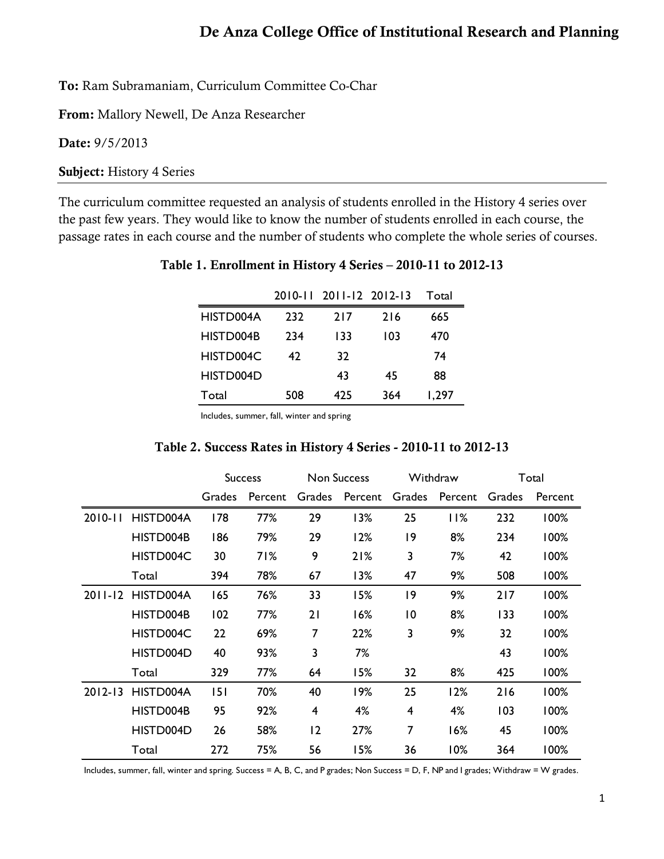To: Ram Subramaniam, Curriculum Committee Co-Char

From: Mallory Newell, De Anza Researcher

Date: 9/5/2013

Subject: History 4 Series

The curriculum committee requested an analysis of students enrolled in the History 4 series over the past few years. They would like to know the number of students enrolled in each course, the passage rates in each course and the number of students who complete the whole series of courses.

|           |     | 2010-11 2011-12 2012-13 |     | Total |
|-----------|-----|-------------------------|-----|-------|
| HISTD004A | 232 | 217                     | 216 | 665   |
| HISTD004B | 234 | 133                     | 103 | 470   |
| HISTD004C | 47  | 32                      |     | 74    |
| HISTD004D |     | 43                      | 45  | 88    |
| Total     | 508 | 425                     | 364 | 1,297 |

Table 1. Enrollment in History 4 Series – 2010-11 to 2012-13

Includes, summer, fall, winter and spring

|             |           |        | <b>Success</b> | <b>Non Success</b> |         | Withdraw       |         | Total  |         |
|-------------|-----------|--------|----------------|--------------------|---------|----------------|---------|--------|---------|
|             |           | Grades | Percent        | Grades             | Percent | Grades         | Percent | Grades | Percent |
| $2010 - 11$ | HISTD004A | 178    | 77%            | 29                 | 13%     | 25             | 11%     | 232    | 100%    |
|             | HISTD004B | 186    | 79%            | 29                 | 12%     | 19             | 8%      | 234    | 100%    |
|             | HISTD004C | 30     | 71%            | 9                  | 21%     | 3              | 7%      | 42     | 100%    |
|             | Total     | 394    | 78%            | 67                 | 13%     | 47             | 9%      | 508    | 100%    |
| $2011 - 12$ | HISTD004A | 165    | 76%            | 33                 | 15%     | 9              | 9%      | 217    | 100%    |
|             | HISTD004B | 102    | 77%            | 21                 | 16%     | $\overline{0}$ | 8%      | 133    | 100%    |
|             | HISTD004C | 22     | 69%            | 7                  | 22%     | 3              | 9%      | 32     | 100%    |
|             | HISTD004D | 40     | 93%            | 3                  | 7%      |                |         | 43     | 100%    |
|             | Total     | 329    | 77%            | 64                 | 15%     | 32             | 8%      | 425    | 100%    |
| $2012 - 13$ | HISTD004A | 151    | 70%            | 40                 | 19%     | 25             | 12%     | 216    | 100%    |
|             | HISTD004B | 95     | 92%            | 4                  | 4%      | 4              | 4%      | 103    | 100%    |
|             | HISTD004D | 26     | 58%            | 12                 | 27%     | 7              | 16%     | 45     | 100%    |
|             | Total     | 272    | 75%            | 56                 | 15%     | 36             | 10%     | 364    | 100%    |

Includes, summer, fall, winter and spring. Success = A, B, C, and P grades; Non Success = D, F, NP and I grades; Withdraw = W grades.